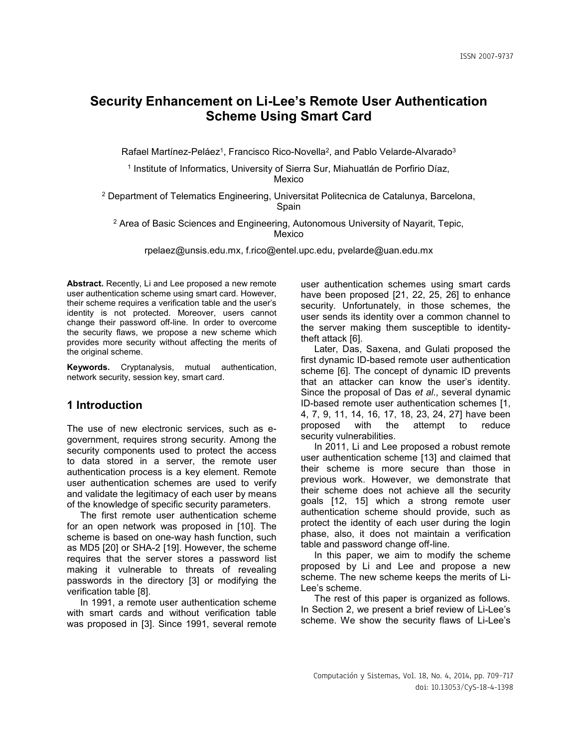# **Security Enhancement on Li-Lee's Remote User Authentication Scheme Using Smart Card**

Rafael Martínez-Peláez<sup>1</sup>, Francisco Rico-Novella<sup>2</sup>, and Pablo Velarde-Alvarado<sup>3</sup>

<sup>1</sup> Institute of Informatics, University of Sierra Sur, Miahuatlán de Porfirio Díaz, Mexico

<sup>2</sup> Department of Telematics Engineering, Universitat Politecnica de Catalunya, Barcelona, Spain

<sup>2</sup> Area of Basic Sciences and Engineering, Autonomous University of Nayarit, Tepic, Mexico

[rpelaez@unsis.edu.mx,](mailto:rpelaez@unsis.edu.mx) [f.rico@entel.upc.edu,](mailto:f.rico@entel.upc.edu) pvelarde@uan.edu.mx

**Abstract.** Recently, Li and Lee proposed a new remote user authentication scheme using smart card. However, their scheme requires a verification table and the user's identity is not protected. Moreover, users cannot change their password off-line. In order to overcome the security flaws, we propose a new scheme which provides more security without affecting the merits of the original scheme.

**Keywords.** Cryptanalysis, mutual authentication, network security, session key, smart card.

# **1 Introduction**

The use of new electronic services, such as egovernment, requires strong security. Among the security components used to protect the access to data stored in a server, the remote user authentication process is a key element. Remote user authentication schemes are used to verify and validate the legitimacy of each user by means of the knowledge of specific security parameters.

The first remote user authentication scheme for an open network was proposed in [10]. The scheme is based on one-way hash function, such as MD5 [20] or SHA-2 [19]. However, the scheme requires that the server stores a password list making it vulnerable to threats of revealing passwords in the directory [3] or modifying the verification table [8].

In 1991, a remote user authentication scheme with smart cards and without verification table was proposed in [3]. Since 1991, several remote

user authentication schemes using smart cards have been proposed [21, 22, 25, 26] to enhance security. Unfortunately, in those schemes, the user sends its identity over a common channel to the server making them susceptible to identitytheft attack [6].

Later, Das, Saxena, and Gulati proposed the first dynamic ID-based remote user authentication scheme [6]. The concept of dynamic ID prevents that an attacker can know the user's identity. Since the proposal of Das *et al*., several dynamic ID-based remote user authentication schemes [1, 4, 7, 9, 11, 14, 16, 17, 18, 23, 24, 27] have been proposed with the attempt to reduce security vulnerabilities.

In 2011, Li and Lee proposed a robust remote user authentication scheme [13] and claimed that their scheme is more secure than those in previous work. However, we demonstrate that their scheme does not achieve all the security goals [12, 15] which a strong remote user authentication scheme should provide, such as protect the identity of each user during the login phase, also, it does not maintain a verification table and password change off-line.

In this paper, we aim to modify the scheme proposed by Li and Lee and propose a new scheme. The new scheme keeps the merits of Li-Lee's scheme.

The rest of this paper is organized as follows. In Section 2, we present a brief review of Li-Lee's scheme. We show the security flaws of Li-Lee's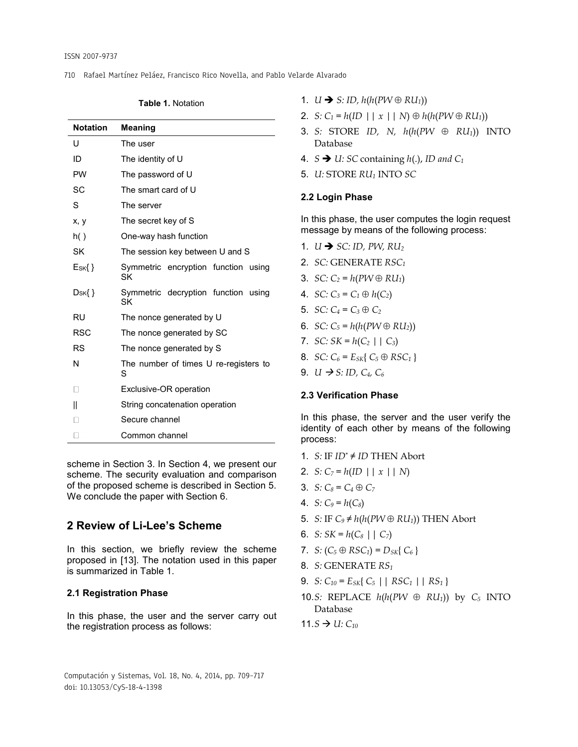710 Rafael Martínez Peláez, Francisco Rico Novella, and Pablo Velarde Alvarado

**Table 1.** Notation

| Notation      | <b>Meaning</b>                             |  |  |
|---------------|--------------------------------------------|--|--|
| U             | The user                                   |  |  |
| ID            | The identity of U                          |  |  |
| <b>PW</b>     | The password of U                          |  |  |
| SC            | The smart card of U                        |  |  |
| S             | The server                                 |  |  |
| X, V          | The secret key of S                        |  |  |
| h()           | One-way hash function                      |  |  |
| SK            | The session key between U and S            |  |  |
| $E$ sk $\{\}$ | Symmetric encryption function using<br>SK  |  |  |
| $D_{SK}$ { }  | Symmetric decryption function using<br>SK  |  |  |
| RU            | The nonce generated by U                   |  |  |
| <b>RSC</b>    | The nonce generated by SC                  |  |  |
| RS            | The nonce generated by S                   |  |  |
| N             | The number of times U re-registers to<br>S |  |  |
| $\mathbf{L}$  | Exclusive-OR operation                     |  |  |
| Ш             | String concatenation operation             |  |  |
|               | Secure channel                             |  |  |
|               | Common channel                             |  |  |

scheme in Section 3. In Section 4, we present our scheme. The security evaluation and comparison of the proposed scheme is described in Section 5. We conclude the paper with Section 6.

# **2 Review of Li-Lee's Scheme**

In this section, we briefly review the scheme proposed in [13]. The notation used in this paper is summarized in Table 1.

## **2.1 Registration Phase**

In this phase, the user and the server carry out the registration process as follows:

1.  $U \rightarrow S: ID, h(h(PW \oplus RU_1))$ 

- 2. *S:*  $C_1 = h(ID \mid | \, x \mid | \, N) \oplus h(h(PW \oplus RU_1))$
- 3. *S:* STORE *ID, N, h*(*h*(*PW RU1*)) INTO Database
- 4.  $S \rightarrow U$ : *SC* containing *h*(.), *ID* and *C*<sub>1</sub>
- 5. *U:* STORE *RU<sup>1</sup>* INTO *SC*

## **2.2 Login Phase**

In this phase, the user computes the login request message by means of the following process:

- 1.  $U \rightarrow SC$ : *ID*, *PW*, *RU*<sub>2</sub>
- 2. *SC:* GENERATE *RSC<sup>1</sup>*
- 3. *SC:*  $C_2 = h(PW \oplus RU_1)$
- 4. *SC:*  $C_3 = C_1 \oplus h(C_2)$
- 5. *SC:*  $C_4 = C_3 \oplus C_2$
- 6. *SC:*  $C_5 = h(h(PW \oplus RU_2))$
- 7. *SC:*  $SK = h(C_2 | | C_3)$
- 8. *SC:*  $C_6 = E_{SK} \{ C_5 \oplus RSC_1 \}$
- 9. *U*  $\rightarrow$  *S*: *ID*, *C*<sub>4</sub>, *C*<sub>6</sub>

## **2.3 Verification Phase**

In this phase, the server and the user verify the identity of each other by means of the following process:

- 1. *S:* IF  $ID^* \neq ID$  THEN Abort
- 2. *S:*  $C_7 = h(ID \mid x \mid N)$
- 3. *S*:  $C_8 = C_4 \oplus C_7$
- 4. *S*:  $C_9 = h(C_8)$
- 5. *S:* IF  $C_9 \neq h(h(PW \oplus RU_1))$  THEN Abort
- 6. *S:*  $SK = h(C_8 | | C_7)$
- 7. *S*:  $(C_5 \oplus RSC_1) = D_{SK} \{ C_6 \}$
- 8. *S:* GENERATE *RS<sup>1</sup>*
- 9. *S:*  $C_{10} = E_{SK} \{ C_5 | | RSC_1 | RS_1 \}$
- 10.*S*: REPLACE  $h(h(PW \oplus RU_1))$  by  $C_5$  INTO Database
- $11.5 \rightarrow U: C_{10}$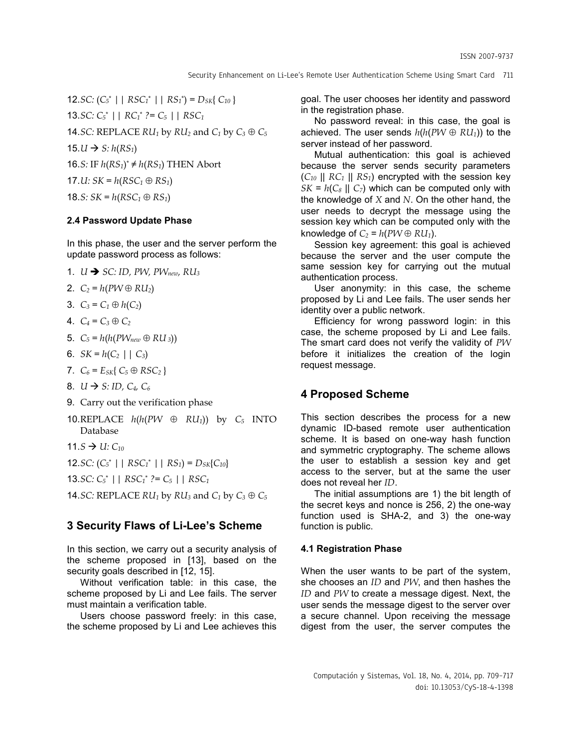12.*SC:*  $(C_5^* \mid \cdot \mid RSC_1^* \mid \cdot \mid RS_1^*) = D_{SK} \{ C_{10} \}$ 13.*SC: C<sup>5</sup>* \* *|| RC<sup>1</sup>* \* *?= C<sup>5</sup> || RSC<sup>1</sup>* 14.*SC:* REPLACE  $RU_1$  by  $RU_2$  and  $C_1$  by  $C_3 \oplus C_5$ 15. $U \rightarrow S$ :  $h(RS_1)$ 16.*S*: IF  $h(RS_1)^* \neq h(RS_1)$  THEN Abort 17.*U:*  $SK = h(RSC_1 \oplus RS_1)$ 18.*S:*  $SK = h(RSC_1 \oplus RS_1)$ 

### **2.4 Password Update Phase**

In this phase, the user and the server perform the update password process as follows:

- 1.  $U \rightarrow SC$ : ID, PW, PW<sub>new</sub>, RU<sub>3</sub>
- 2.  $C_2 = h(PW \oplus RU_2)$
- 3.  $C_3 = C_1 \oplus h(C_2)$
- 4.  $C_4 = C_3 \oplus C_2$
- 5.  $C_5 = h(h(PW_{new} \oplus RU_3))$
- 6.  $SK = h(C_2 | | C_3)$
- 7.  $C_6 = E_{SK} \{ C_5 \oplus RSC_2 \}$
- 8.  $U \rightarrow S: ID, C_4, C_6$
- 9. Carry out the verification phase
- 10.REPLACE  $h(h(PW \oplus RU_1))$  by  $C_5$  INTO Database
- 11.*S*  $\rightarrow U: C_{10}$

12.*SC:*  $(C_5^* | | RSC_1^* | | RS_1) = D_{SK}(C_{10})$ 

13.*SC: C<sup>5</sup>* \* *|| RSC<sup>1</sup>* \* *?= C<sup>5</sup> || RSC<sup>1</sup>*

14.*SC:* REPLACE  $RU_1$  by  $RU_3$  and  $C_1$  by  $C_3 \oplus C_5$ 

## **3 Security Flaws of Li-Lee's Scheme**

In this section, we carry out a security analysis of the scheme proposed in [13], based on the security goals described in [12, 15].

Without verification table: in this case, the scheme proposed by Li and Lee fails. The server must maintain a verification table.

Users choose password freely: in this case, the scheme proposed by Li and Lee achieves this goal. The user chooses her identity and password in the registration phase.

No password reveal: in this case, the goal is achieved. The user sends  $h(h(PW \oplus RU_1))$  to the server instead of her password.

Mutual authentication: this goal is achieved because the server sends security parameters  $(C_{10} \parallel RC_1 \parallel RS_1)$  encrypted with the session key  $SK = h(C_8 \parallel C_7)$  which can be computed only with the knowledge of *X* and *N*. On the other hand, the user needs to decrypt the message using the session key which can be computed only with the knowledge of  $C_2 = h(PW \oplus RU_1)$ .

Session key agreement: this goal is achieved because the server and the user compute the same session key for carrying out the mutual authentication process.

User anonymity: in this case, the scheme proposed by Li and Lee fails. The user sends her identity over a public network.

Efficiency for wrong password login: in this case, the scheme proposed by Li and Lee fails. The smart card does not verify the validity of *PW* before it initializes the creation of the login request message.

## **4 Proposed Scheme**

This section describes the process for a new dynamic ID-based remote user authentication scheme. It is based on one-way hash function and symmetric cryptography. The scheme allows the user to establish a session key and get access to the server, but at the same the user does not reveal her *ID*.

The initial assumptions are 1) the bit length of the secret keys and nonce is 256, 2) the one-way function used is SHA-2, and 3) the one-way function is public.

#### **4.1 Registration Phase**

When the user wants to be part of the system, she chooses an *ID* and *PW*, and then hashes the *ID* and *PW* to create a message digest. Next, the user sends the message digest to the server over a secure channel. Upon receiving the message digest from the user, the server computes the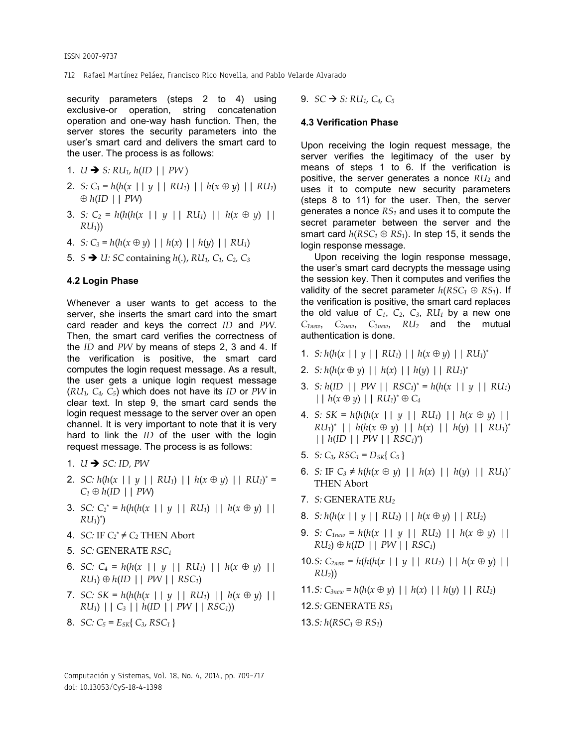712 Rafael Martínez Peláez, Francisco Rico Novella, and Pablo Velarde Alvarado

security parameters (steps 2 to 4) using exclusive-or operation, string concatenation operation and one-way hash function. Then, the server stores the security parameters into the user's smart card and delivers the smart card to the user. The process is as follows:

1.  $U \rightarrow S: RU_1, h(ID || PW)$ 

- 2. *S*:  $C_1 = h(h(x \mid |y| \mid R U_1) \mid h(x \oplus y) \mid R U_1)$  $\oplus h$ (*ID* || *PW*)
- 3. *S:*  $C_2 = h(h(h(x \mid | y \mid | R U_1) \mid | h(x \oplus y) \mid)$ *RU1*))
- 4. *S*:  $C_3 = h(h(x \oplus y) \mid h(x) \mid h(y) \mid RU_1)$
- 5.  $S \rightarrow U$ : *SC* containing  $h(.)$ ,  $RU_1$ ,  $C_1$ ,  $C_2$ ,  $C_3$

### **4.2 Login Phase**

Whenever a user wants to get access to the server, she inserts the smart card into the smart card reader and keys the correct *ID* and *PW*. Then, the smart card verifies the correctness of the *ID* and *PW* by means of steps 2, 3 and 4. If the verification is positive, the smart card computes the login request message. As a result, the user gets a unique login request message (*RU1, C4, C5*) which does not have its *ID* or *PW* in clear text. In step 9, the smart card sends the login request message to the server over an open channel. It is very important to note that it is very hard to link the *ID* of the user with the login request message. The process is as follows:

- 1.  $U \rightarrow SC: ID. PW$
- 2. *SC:*  $h(h(x \mid y \mid R U_1) \mid h(x \oplus y) \mid R U_1)^* =$  $C_1 \oplus h(ID \mid \mid PW)$
- 3. *SC:*  $C_2^* = h(h(h(x \mid | y \mid | R U_1) | | h(x \oplus y) |)$  $RU_1)^*$
- 4. *SC:* IF  $C_2^* \neq C_2$  THEN Abort
- 5. *SC:* GENERATE *RSC<sup>1</sup>*
- 6. *SC:*  $C_4 = h(h(x \mid | y \mid | R U_1) | | h(x \oplus y) |)$  $RU_1) \oplus h(ID \mid PW \mid RSC_1$
- 7. *SC: SK = h*( $h(h(x \mid y \mid \mid R U_1) \mid \mid h(x \oplus y) \mid \mid)$ *RU1*) || *C<sup>3</sup>* || *h*(*ID* || *PW* || *RSC1*))
- 8. *SC:*  $C_5 = E_{SK} \{ C_3, RSC_1 \}$

9.  $SC \to S: RU_1, C_4, C_5$ 

### **4.3 Verification Phase**

Upon receiving the login request message, the server verifies the legitimacy of the user by means of steps 1 to 6. If the verification is positive, the server generates a nonce *RU<sup>2</sup>* and uses it to compute new security parameters (steps 8 to 11) for the user. Then, the server generates a nonce *RS<sup>1</sup>* and uses it to compute the secret parameter between the server and the smart card  $h(RSC_1 \oplus RS_1)$ . In step 15, it sends the login response message.

Upon receiving the login response message, the user's smart card decrypts the message using the session key. Then it computes and verifies the validity of the secret parameter  $h(RSC_1 \oplus RS_1)$ . If the verification is positive, the smart card replaces the old value of  $C_1$ ,  $C_2$ ,  $C_3$ ,  $RU_1$  by a new one *C1new*, *C2new*, *C3new*, *RU<sup>2</sup>* and the mutual authentication is done.

- 1. *S*:  $h(h(x || y || R U_1) || h(x \oplus y) || R U_1)^*$
- 2. *S*:  $h(h(x \oplus y) \mid h(x) \mid h(y) \mid R U_1)^*$
- 3. *S:*  $h(ID | | PW | RSC_1^* = h(h(x | | y | RU_1))$  $| | h(x \oplus y) | | R U_1^* \oplus C_4$
- 4. *S:*  $SK = h(h(h(x || y || RU_1) || h(x \oplus y) ||$  $RU_1$ <sup>\*</sup> ||  $h(h(x \oplus y)$  ||  $h(x)$  ||  $h(y)$  ||  $RU_1$ <sup>\*</sup> || *h*(*ID* || *PW* || *RSC1*) \* )
- 5. *S*:  $C_3$ ,  $RSC_1 = D_{SK} \{ C_5 \}$
- 6. *S:* IF  $C_3 \neq h(h(x \oplus y) \mid | h(x) | | h(y) | | R U_1)^*$ THEN Abort
- 7. *S:* GENERATE *RU<sup>2</sup>*
- 8. *S*:  $h(h(x \mid y \mid R U_2) \mid h(x \oplus y) \mid R U_2)$
- 9. *S:*  $C_{1new} = h(h(x \mid | y \mid | R U_2) | | h(x \oplus y) |)$  $RU_2) \oplus h(ID \mid PW \mid RSC_1)$
- 10.*S*:  $C_{2new} = h(h(h(x || y || R U_2) || h(x \oplus y) ||$ *RU2*))
- 11.*S*:  $C_{3new} = h(h(x \oplus y) \mid | h(x) | | h(y) | | R U_2)$

12.*S:* GENERATE *RS<sup>1</sup>*

13.*S:*  $h(RSC_1 \oplus RS_1)$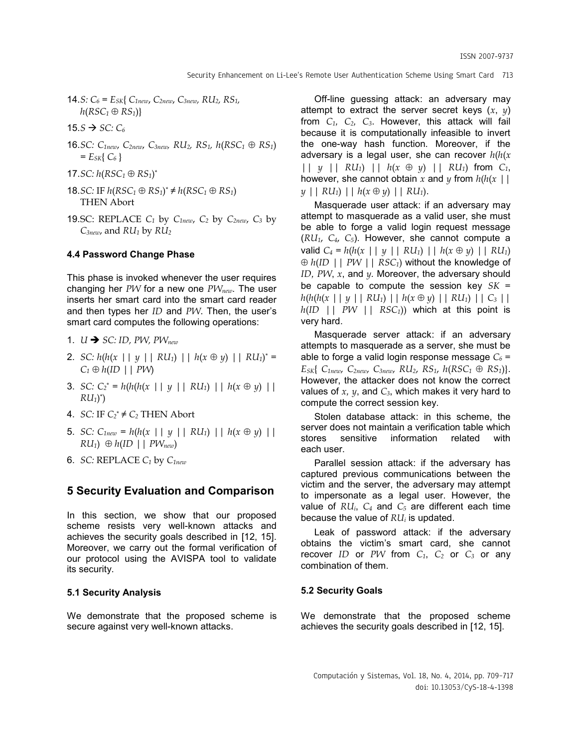- 14.*S*:  $C_6$  =  $E_{SK}$ {  $C_{1new}$ ,  $C_{2new}$ ,  $C_{3new}$ ,  $RU_2$ ,  $RS_1$ ,  $h(RSC_1 \oplus RS_1)$
- 15. $S \rightarrow SC: C_6$
- 16.*SC: C1new*, *C2new*, *C3new, RU2, RS1, h*(*RSC<sup>1</sup> RS1*)  $= E_{SK} \{ C_6 \}$
- 17.*SC:*  $h(RSC_1 \oplus RS_1)^*$
- 18.*SC*: IF  $h(RSC_1 \oplus RS_1)^* \neq h(RSC_1 \oplus RS_1)$ THEN Abort
- 19.SC: REPLACE  $C_1$  by  $C_{1new}$ ,  $C_2$  by  $C_{2new}$ ,  $C_3$  by *C3new*, and *RU<sup>1</sup>* by *RU<sup>2</sup>*

## **4.4 Password Change Phase**

This phase is invoked whenever the user requires changing her *PW* for a new one *PWnew*. The user inserts her smart card into the smart card reader and then types her *ID* and *PW*. Then, the user's smart card computes the following operations:

- 1.  $U \rightarrow SC: ID$ , *PW*, *PW*<sub>new</sub>
- 2. *SC:*  $h(h(x \mid y \mid R U_1) \mid h(x \oplus y) \mid R U_1)^* =$  $C_1 \oplus h(ID \mid \mid PW$
- 3. *SC:*  $C_2^* = h(h(h(x \mid | y \mid | R U_1) | | h(x \oplus y) |)$  $RU_1)^*$
- 4. *SC:* IF  $C_2^* \neq C_2$  THEN Abort
- 5. *SC:*  $C_{1new} = h(h(x \mid y \mid R U_1) \mid h(x \oplus y) \mid)$  $RU_1) \oplus h(ID \mid \mid PW_{new})$
- 6. *SC:* REPLACE *C<sup>1</sup>* by *C1new*

## **5 Security Evaluation and Comparison**

In this section, we show that our proposed scheme resists very well-known attacks and achieves the security goals described in [12, 15]. Moreover, we carry out the formal verification of our protocol using the AVISPA tool to validate its security.

#### **5.1 Security Analysis**

We demonstrate that the proposed scheme is secure against very well-known attacks.

Off-line guessing attack: an adversary may attempt to extract the server secret keys  $(x, y)$ from *C1, C2, C3*. However, this attack will fail because it is computationally infeasible to invert the one-way hash function. Moreover, if the adversary is a legal user, she can recover *h*(*h*(*x* ||  $\gamma$  ||  $RU_1$ ) ||  $h(x \oplus \gamma)$  ||  $RU_1$ ) from  $C_1$ , however, she cannot obtain x and y from  $h(h(x))$ *y* || *RU1*) || *h*(*x y*) || *RU1*).

Masquerade user attack: if an adversary may attempt to masquerade as a valid user, she must be able to forge a valid login request message  $(RU_1, C_4, C_5)$ . However, she cannot compute a valid  $C_4 = h(h(x \mid y \mid R U_1) \mid h(x \oplus y) \mid R U_1)$  *h*(*ID* || *PW* || *RSC1*) without the knowledge of *ID, PW*, *x*, and *y.* Moreover, the adversary should be capable to compute the session key *SK* = *h*(*h*(*h*(*x* || *y* || *RU1*) || *h*(*x y*) || *RU1*) || *C<sup>3</sup>* ||  $h(ID \mid \mid PW \mid \mid RSC_1)$  which at this point is very hard.

Masquerade server attack: if an adversary attempts to masquerade as a server, she must be able to forge a valid login response message  $C_6$  = *ESK*{ *C1new*, *C2new*, *C3new*, *RU2*, *RS1*, *h*(*RSC<sup>1</sup> RS1*)}. However, the attacker does not know the correct values of  $x$ ,  $y$ , and  $C_3$ , which makes it very hard to compute the correct session key.

Stolen database attack: in this scheme, the server does not maintain a verification table which stores sensitive information related with each user.

Parallel session attack: if the adversary has captured previous communications between the victim and the server, the adversary may attempt to impersonate as a legal user. However, the value of *RUi*, *C<sup>4</sup>* and *C<sup>5</sup>* are different each time because the value of *RU<sup>i</sup>* is updated.

Leak of password attack: if the adversary obtains the victim's smart card, she cannot recover *ID* or *PW* from *C1*, *C<sup>2</sup>* or *C<sup>3</sup>* or any combination of them.

## **5.2 Security Goals**

We demonstrate that the proposed scheme achieves the security goals described in [12, 15].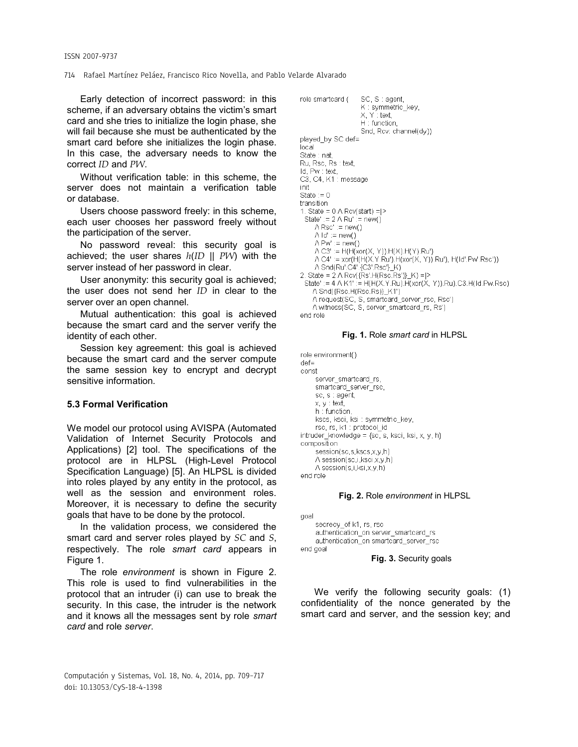#### 714 Rafael Martínez Peláez, Francisco Rico Novella, and Pablo Velarde Alvarado

Early detection of incorrect password: in this scheme, if an adversary obtains the victim's smart card and she tries to initialize the login phase, she will fail because she must be authenticated by the smart card before she initializes the login phase. In this case, the adversary needs to know the correct *ID* and *PW*.

Without verification table: in this scheme, the server does not maintain a verification table or database.

Users choose password freely: in this scheme, each user chooses her password freely without the participation of the server.

No password reveal: this security goal is achieved; the user shares *h*(*ID || PW*) with the server instead of her password in clear.

User anonymity: this security goal is achieved; the user does not send her *ID* in clear to the server over an open channel.

Mutual authentication: this goal is achieved because the smart card and the server verify the identity of each other.

Session key agreement: this goal is achieved because the smart card and the server compute the same session key to encrypt and decrypt sensitive information.

## **5.3 Formal Verification**

We model our protocol using AVISPA (Automated Validation of Internet Security Protocols and Applications) [2] tool. The specifications of the protocol are in HLPSL (High-Level Protocol Specification Language) [5]. An HLPSL is divided into roles played by any entity in the protocol, as well as the session and environment roles. Moreover, it is necessary to define the security goals that have to be done by the protocol.

In the validation process, we considered the smart card and server roles played by *SC* and *S*, respectively. The role *smart card* appears in Figure 1.

The role *environment* is shown in Figure 2. This role is used to find vulnerabilities in the protocol that an intruder (i) can use to break the security. In this case, the intruder is the network and it knows all the messages sent by role *smart card* and role *server*.



#### **Fig. 1.** Role *smart card* in HLPSL

```
role environment()
def =const
    server_smartcard_rs,
    smartcard_server_rsc,
     sc, s : agent,
     x, y : text,
    h : function,
    kscs, ksci, ksi : symmetric_key,
    rsc, rs, k1 : protocol_id
intruder_knowledge = {sc, s, ksci, ksi, x, y, h}
composition
    .<br>session(sc,s,kscs,x,y,h)
    A session(sc,i,ksci,x,y,h)
    A session(s,i,ksi,x,y,h)
end role
```
#### **Fig. 2.** Role *environment* in HLPSL

```
goal
    secrecy_of k1, rs, rsc
    authentication_on server_smartcard_rs
    authentication_on smartcard_server_rsc
end goal
```
#### **Fig. 3.** Security goals

We verify the following security goals: (1) confidentiality of the nonce generated by the smart card and server, and the session key; and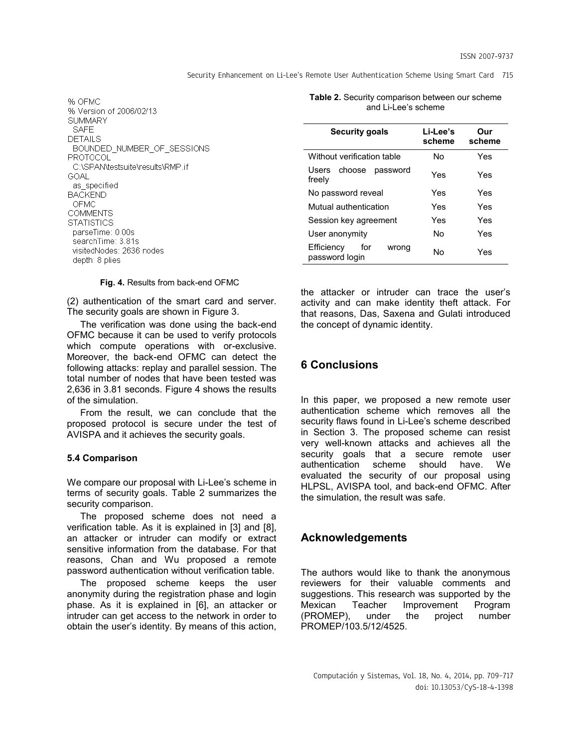Security Enhancement on Li-Lee's Remote User Authentication Scheme Using Smart Card 715

| % OFMC<br>% Version of 2006/02/13<br>SUMMARY<br>SAFF |
|------------------------------------------------------|
| DETAILS                                              |
| BOUNDED NUMBER OF SESSIONS                           |
| PROTOCOL                                             |
| C:\SPAN\testsuite\results\RMP.if                     |
| GOAL.                                                |
| as specified                                         |
| BACKEND                                              |
| OEMC                                                 |
| COMMENTS                                             |
| STATISTICS                                           |
| parseTime: 0.00s                                     |
| searchTime: 3.81s                                    |
| visitedNodes: 2636 nodes                             |
| depth: 8 plies                                       |

**Fig. 4.** Results from back-end OFMC

(2) authentication of the smart card and server. The security goals are shown in Figure 3.

The verification was done using the back-end OFMC because it can be used to verify protocols which compute operations with or-exclusive. Moreover, the back-end OFMC can detect the following attacks: replay and parallel session. The total number of nodes that have been tested was 2,636 in 3.81 seconds. Figure 4 shows the results of the simulation.

From the result, we can conclude that the proposed protocol is secure under the test of AVISPA and it achieves the security goals.

### **5.4 Comparison**

We compare our proposal with Li-Lee's scheme in terms of security goals. Table 2 summarizes the security comparison.

The proposed scheme does not need a verification table. As it is explained in [3] and [8], an attacker or intruder can modify or extract sensitive information from the database. For that reasons, Chan and Wu proposed a remote password authentication without verification table.

The proposed scheme keeps the user anonymity during the registration phase and login phase. As it is explained in [6], an attacker or intruder can get access to the network in order to obtain the user's identity. By means of this action, **Table 2.** Security comparison between our scheme and Li-Lee's scheme

| <b>Security goals</b>                        | Li-Lee's<br>scheme | Our<br>scheme |
|----------------------------------------------|--------------------|---------------|
| Without verification table                   | N٥                 | Yes           |
| choose<br><b>Users</b><br>password<br>freely | Yes                | Yes           |
| No password reveal                           | Yes                | Yes           |
| Mutual authentication                        | Yes                | Yes           |
| Session key agreement                        | Yes                | Yes           |
| User anonymity                               | No                 | Yes           |
| Efficiency<br>for<br>wrong<br>password login | N٥                 | Yes           |

the attacker or intruder can trace the user's activity and can make identity theft attack. For that reasons, Das, Saxena and Gulati introduced the concept of dynamic identity.

# **6 Conclusions**

In this paper, we proposed a new remote user authentication scheme which removes all the security flaws found in Li-Lee's scheme described in Section 3. The proposed scheme can resist very well-known attacks and achieves all the security goals that a secure remote user authentication scheme should have. We evaluated the security of our proposal using HLPSL, AVISPA tool, and back-end OFMC. After the simulation, the result was safe.

## **Acknowledgements**

The authors would like to thank the anonymous reviewers for their valuable comments and suggestions. This research was supported by the Mexican Teacher Improvement Program (PROMEP), under the project number PROMEP/103.5/12/4525.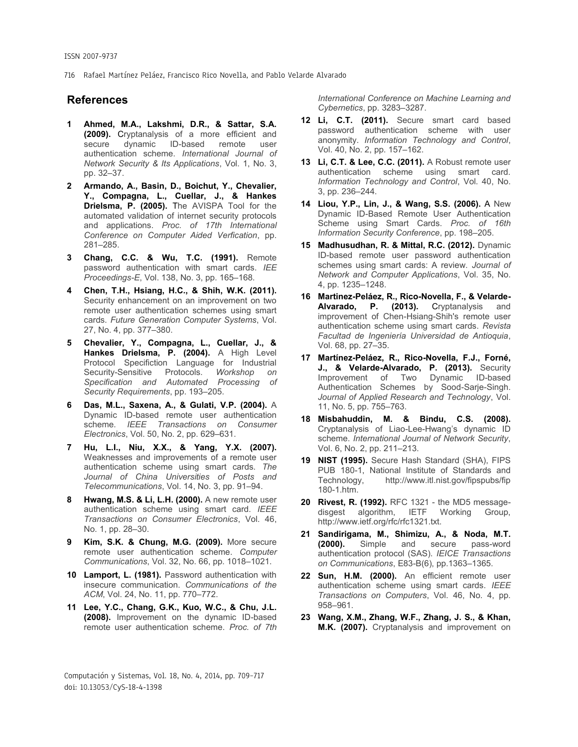#### ISSN 2007-9737

716 Rafael Martínez Peláez, Francisco Rico Novella, and Pablo Velarde Alvarado

## **References**

- **1 Ahmed, M.A., Lakshmi, D.R., & Sattar, S.A. (2009).** Cryptanalysis of a more efficient and secure dynamic ID-based remote user authentication scheme. *International Journal of Network Security & Its Applications*, Vol. 1, No. 3, pp. 32–37.
- **2 Armando, A., Basin, D., Boichut, Y., Chevalier, Y., Compagna, L., Cuellar, J., & Hankes Drielsma, P. (2005).** The AVISPA Tool for the automated validation of internet security protocols and applications. *Proc. of 17th International Conference on Computer Aided Verfication*, pp. 281–285.
- **3 Chang, C.C. & Wu, T.C. (1991).** Remote password authentication with smart cards. *IEE Proceedings-E*, Vol. 138, No. 3, pp. 165–168.
- **4 Chen, T.H., Hsiang, H.C., & Shih, W.K. (2011).** Security enhancement on an improvement on two remote user authentication schemes using smart cards. *Future Generation Computer Systems*, Vol. 27, No. 4, pp. 377–380.
- **5 Chevalier, Y., Compagna, L., Cuellar, J., & Hankes Drielsma, P. (2004).** A High Level Protocol Specifiction Language for Industrial Security-Sensitive Protocols. *Workshop on Specification and Automated Processing of Security Requirements*, pp. 193–205.
- **6 Das, M.L., Saxena, A., & Gulati, V.P. (2004).** A Dynamic ID-based remote user authentication scheme. *IEEE Transactions on Consumer Electronics*, Vol. 50, No. 2, pp. 629–631.
- **7 Hu, L.I., Niu, X.X., & Yang, Y.X. (2007).** Weaknesses and improvements of a remote user authentication scheme using smart cards. *The Journal of China Universities of Posts and Telecommunications*, Vol. 14, No. 3, pp. 91–94.
- **8 Hwang, M.S. & Li, L.H. (2000).** A new remote user authentication scheme using smart card. *IEEE Transactions on Consumer Electronics*, Vol. 46, No. 1, pp. 28–30.
- **9 Kim, S.K. & Chung, M.G. (2009).** More secure remote user authentication scheme. *Computer Communications*, Vol. 32, No. 66, pp. 1018–1021.
- **10 Lamport, L. (1981).** Password authentication with insecure communication. *Communications of the ACM*, Vol. 24, No. 11, pp. 770–772.
- **11 Lee, Y.C., Chang, G.K., Kuo, W.C., & Chu, J.L. (2008).** Improvement on the dynamic ID-based remote user authentication scheme. *Proc. of 7th*

*International Conference on Machine Learning and Cybernetics*, pp. 3283–3287.

- **12 Li, C.T. (2011).** Secure smart card based password authentication scheme with user anonymity. *Information Technology and Control*, Vol. 40, No. 2, pp. 157–162.
- **13 Li, C.T. & Lee, C.C. (2011).** A Robust remote user authentication scheme using smart card. *Information Technology and Control*, Vol. 40, No. 3, pp. 236–244.
- **14 Liou, Y.P., Lin, J., & Wang, S.S. (2006).** A New Dynamic ID-Based Remote User Authentication Scheme using Smart Cards. *Proc. of 16th Information Security Conference*, pp. 198–205.
- **15 Madhusudhan, R. & Mittal, R.C. (2012).** Dynamic ID-based remote user password authentication schemes using smart cards: A review. *Journal of Network and Computer Applications*, Vol. 35, No. 4, pp. 1235–1248.
- **16 Martinez-Peláez, R., Rico-Novella, F., & Velarde-Alvarado, P. (2013).** Cryptanalysis and improvement of Chen-Hsiang-Shih's remote user authentication scheme using smart cards. *Revista Facultad de Ingeniería Universidad de Antioquia*, Vol. 68, pp. 27–35.
- **17 Martínez-Peláez, R., Rico-Novella, F.J., Forné, J., & Velarde-Alvarado, P. (2013).** Security Improvement of Two Dynamic ID-based Authentication Schemes by Sood-Sarje-Singh. *Journal of Applied Research and Technology*, Vol. 11, No. 5, pp. 755–763.
- **18 Misbahuddin, M. & Bindu, C.S. (2008).** Cryptanalysis of Liao-Lee-Hwang's dynamic ID scheme. *International Journal of Network Security*, Vol. 6, No. 2, pp. 211–213.
- **19 NIST (1995).** Secure Hash Standard (SHA), FIPS PUB 180-1, National Institute of Standards and Technology, http://www.itl.nist.gov/fipspubs/fip 180-1.htm.
- **20 Rivest, R. (1992).** RFC 1321 the MD5 messagedisgest algorithm, IETF Working Group, http://www.ietf.org/rfc/rfc1321.txt.
- **21 Sandirigama, M., Shimizu, A., & Noda, M.T. (2000).** Simple and secure pass-word authentication protocol (SAS). *IEICE Transactions on Communications*, E83-B(6), pp.1363–1365.
- **22 Sun, H.M. (2000).** An efficient remote user authentication scheme using smart cards. *IEEE Transactions on Computers*, Vol. 46, No. 4, pp. 958–961.
- **23 Wang, X.M., Zhang, W.F., Zhang, J. S., & Khan, M.K. (2007).** Cryptanalysis and improvement on

Computación y Sistemas, Vol. 18, No. 4, 2014, pp. 709–717 doi: 10.13053/CyS-18-4-1398